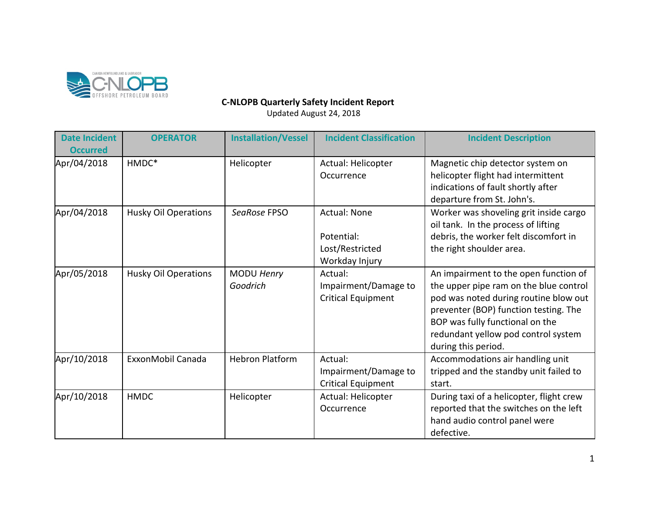

## **C-NLOPB Quarterly Safety Incident Report**

Updated August 24, 2018

| <b>Date Incident</b><br><b>Occurred</b> | <b>OPERATOR</b>             | <b>Installation/Vessel</b> | <b>Incident Classification</b>                                         | <b>Incident Description</b>                                                                                                                                                                                                                                        |
|-----------------------------------------|-----------------------------|----------------------------|------------------------------------------------------------------------|--------------------------------------------------------------------------------------------------------------------------------------------------------------------------------------------------------------------------------------------------------------------|
| Apr/04/2018                             | HMDC*                       | Helicopter                 | Actual: Helicopter<br>Occurrence                                       | Magnetic chip detector system on<br>helicopter flight had intermittent<br>indications of fault shortly after<br>departure from St. John's.                                                                                                                         |
| Apr/04/2018                             | <b>Husky Oil Operations</b> | SeaRose FPSO               | <b>Actual: None</b><br>Potential:<br>Lost/Restricted<br>Workday Injury | Worker was shoveling grit inside cargo<br>oil tank. In the process of lifting<br>debris, the worker felt discomfort in<br>the right shoulder area.                                                                                                                 |
| Apr/05/2018                             | <b>Husky Oil Operations</b> | MODU Henry<br>Goodrich     | Actual:<br>Impairment/Damage to<br><b>Critical Equipment</b>           | An impairment to the open function of<br>the upper pipe ram on the blue control<br>pod was noted during routine blow out<br>preventer (BOP) function testing. The<br>BOP was fully functional on the<br>redundant yellow pod control system<br>during this period. |
| Apr/10/2018                             | ExxonMobil Canada           | <b>Hebron Platform</b>     | Actual:<br>Impairment/Damage to<br><b>Critical Equipment</b>           | Accommodations air handling unit<br>tripped and the standby unit failed to<br>start.                                                                                                                                                                               |
| Apr/10/2018                             | <b>HMDC</b>                 | Helicopter                 | Actual: Helicopter<br>Occurrence                                       | During taxi of a helicopter, flight crew<br>reported that the switches on the left<br>hand audio control panel were<br>defective.                                                                                                                                  |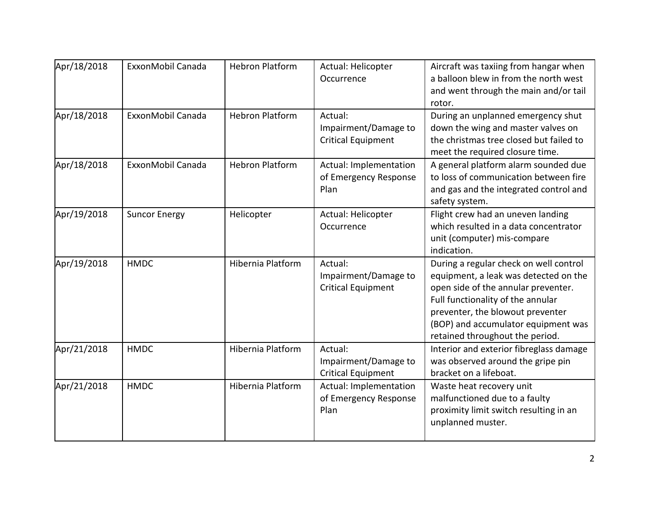| Apr/18/2018 | ExxonMobil Canada    | <b>Hebron Platform</b> | Actual: Helicopter<br>Occurrence                             | Aircraft was taxiing from hangar when<br>a balloon blew in from the north west<br>and went through the main and/or tail<br>rotor.                                                                                                                                         |
|-------------|----------------------|------------------------|--------------------------------------------------------------|---------------------------------------------------------------------------------------------------------------------------------------------------------------------------------------------------------------------------------------------------------------------------|
| Apr/18/2018 | ExxonMobil Canada    | <b>Hebron Platform</b> | Actual:<br>Impairment/Damage to<br><b>Critical Equipment</b> | During an unplanned emergency shut<br>down the wing and master valves on<br>the christmas tree closed but failed to<br>meet the required closure time.                                                                                                                    |
| Apr/18/2018 | ExxonMobil Canada    | <b>Hebron Platform</b> | Actual: Implementation<br>of Emergency Response<br>Plan      | A general platform alarm sounded due<br>to loss of communication between fire<br>and gas and the integrated control and<br>safety system.                                                                                                                                 |
| Apr/19/2018 | <b>Suncor Energy</b> | Helicopter             | Actual: Helicopter<br>Occurrence                             | Flight crew had an uneven landing<br>which resulted in a data concentrator<br>unit (computer) mis-compare<br>indication.                                                                                                                                                  |
| Apr/19/2018 | <b>HMDC</b>          | Hibernia Platform      | Actual:<br>Impairment/Damage to<br><b>Critical Equipment</b> | During a regular check on well control<br>equipment, a leak was detected on the<br>open side of the annular preventer.<br>Full functionality of the annular<br>preventer, the blowout preventer<br>(BOP) and accumulator equipment was<br>retained throughout the period. |
| Apr/21/2018 | <b>HMDC</b>          | Hibernia Platform      | Actual:<br>Impairment/Damage to<br><b>Critical Equipment</b> | Interior and exterior fibreglass damage<br>was observed around the gripe pin<br>bracket on a lifeboat.                                                                                                                                                                    |
| Apr/21/2018 | <b>HMDC</b>          | Hibernia Platform      | Actual: Implementation<br>of Emergency Response<br>Plan      | Waste heat recovery unit<br>malfunctioned due to a faulty<br>proximity limit switch resulting in an<br>unplanned muster.                                                                                                                                                  |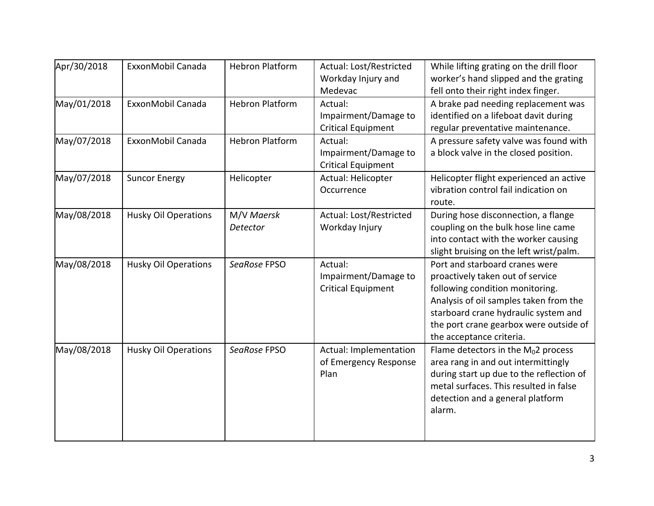| Apr/30/2018 | ExxonMobil Canada           | <b>Hebron Platform</b> | Actual: Lost/Restricted<br>Workday Injury and<br>Medevac     | While lifting grating on the drill floor<br>worker's hand slipped and the grating<br>fell onto their right index finger.                                                                                                                                      |
|-------------|-----------------------------|------------------------|--------------------------------------------------------------|---------------------------------------------------------------------------------------------------------------------------------------------------------------------------------------------------------------------------------------------------------------|
| May/01/2018 | ExxonMobil Canada           | <b>Hebron Platform</b> | Actual:<br>Impairment/Damage to<br><b>Critical Equipment</b> | A brake pad needing replacement was<br>identified on a lifeboat davit during<br>regular preventative maintenance.                                                                                                                                             |
| May/07/2018 | ExxonMobil Canada           | <b>Hebron Platform</b> | Actual:<br>Impairment/Damage to<br><b>Critical Equipment</b> | A pressure safety valve was found with<br>a block valve in the closed position.                                                                                                                                                                               |
| May/07/2018 | <b>Suncor Energy</b>        | Helicopter             | Actual: Helicopter<br>Occurrence                             | Helicopter flight experienced an active<br>vibration control fail indication on<br>route.                                                                                                                                                                     |
| May/08/2018 | <b>Husky Oil Operations</b> | M/V Maersk<br>Detector | Actual: Lost/Restricted<br>Workday Injury                    | During hose disconnection, a flange<br>coupling on the bulk hose line came<br>into contact with the worker causing<br>slight bruising on the left wrist/palm.                                                                                                 |
| May/08/2018 | Husky Oil Operations        | SeaRose FPSO           | Actual:<br>Impairment/Damage to<br><b>Critical Equipment</b> | Port and starboard cranes were<br>proactively taken out of service<br>following condition monitoring.<br>Analysis of oil samples taken from the<br>starboard crane hydraulic system and<br>the port crane gearbox were outside of<br>the acceptance criteria. |
| May/08/2018 | <b>Husky Oil Operations</b> | SeaRose FPSO           | Actual: Implementation<br>of Emergency Response<br>Plan      | Flame detectors in the $M_0$ 2 process<br>area rang in and out intermittingly<br>during start up due to the reflection of<br>metal surfaces. This resulted in false<br>detection and a general platform<br>alarm.                                             |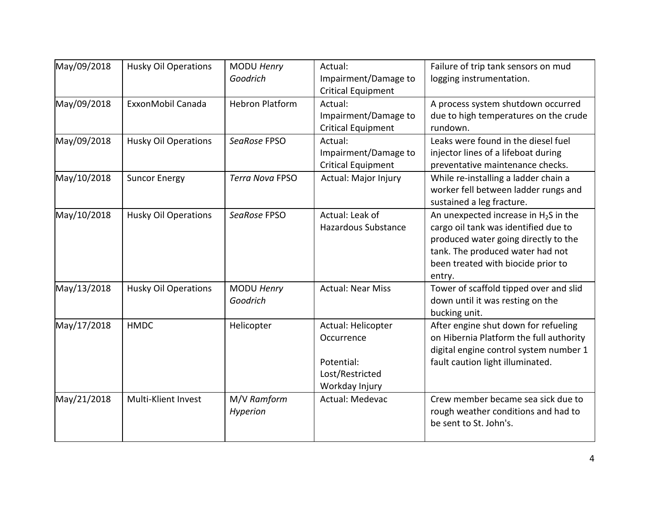| May/09/2018 | <b>Husky Oil Operations</b> | MODU Henry<br>Goodrich        | Actual:<br>Impairment/Damage to<br><b>Critical Equipment</b>                        | Failure of trip tank sensors on mud<br>logging instrumentation.                                                                                                                                             |
|-------------|-----------------------------|-------------------------------|-------------------------------------------------------------------------------------|-------------------------------------------------------------------------------------------------------------------------------------------------------------------------------------------------------------|
| May/09/2018 | ExxonMobil Canada           | <b>Hebron Platform</b>        | Actual:<br>Impairment/Damage to<br><b>Critical Equipment</b>                        | A process system shutdown occurred<br>due to high temperatures on the crude<br>rundown.                                                                                                                     |
| May/09/2018 | <b>Husky Oil Operations</b> | SeaRose FPSO                  | Actual:<br>Impairment/Damage to<br><b>Critical Equipment</b>                        | Leaks were found in the diesel fuel<br>injector lines of a lifeboat during<br>preventative maintenance checks.                                                                                              |
| May/10/2018 | <b>Suncor Energy</b>        | Terra Nova FPSO               | Actual: Major Injury                                                                | While re-installing a ladder chain a<br>worker fell between ladder rungs and<br>sustained a leg fracture.                                                                                                   |
| May/10/2018 | <b>Husky Oil Operations</b> | SeaRose FPSO                  | Actual: Leak of<br><b>Hazardous Substance</b>                                       | An unexpected increase in $H_2S$ in the<br>cargo oil tank was identified due to<br>produced water going directly to the<br>tank. The produced water had not<br>been treated with biocide prior to<br>entry. |
| May/13/2018 | <b>Husky Oil Operations</b> | <b>MODU Henry</b><br>Goodrich | <b>Actual: Near Miss</b>                                                            | Tower of scaffold tipped over and slid<br>down until it was resting on the<br>bucking unit.                                                                                                                 |
| May/17/2018 | <b>HMDC</b>                 | Helicopter                    | Actual: Helicopter<br>Occurrence<br>Potential:<br>Lost/Restricted<br>Workday Injury | After engine shut down for refueling<br>on Hibernia Platform the full authority<br>digital engine control system number 1<br>fault caution light illuminated.                                               |
| May/21/2018 | Multi-Klient Invest         | M/V Ramform<br>Hyperion       | Actual: Medevac                                                                     | Crew member became sea sick due to<br>rough weather conditions and had to<br>be sent to St. John's.                                                                                                         |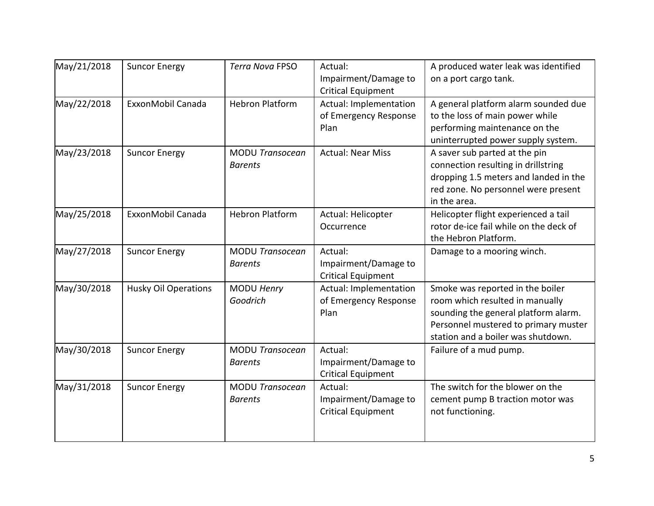| May/21/2018 | <b>Suncor Energy</b>        | Terra Nova FPSO                          | Actual:<br>Impairment/Damage to<br><b>Critical Equipment</b> | A produced water leak was identified<br>on a port cargo tank.                                                                                                                             |
|-------------|-----------------------------|------------------------------------------|--------------------------------------------------------------|-------------------------------------------------------------------------------------------------------------------------------------------------------------------------------------------|
| May/22/2018 | ExxonMobil Canada           | <b>Hebron Platform</b>                   | Actual: Implementation<br>of Emergency Response<br>Plan      | A general platform alarm sounded due<br>to the loss of main power while<br>performing maintenance on the<br>uninterrupted power supply system.                                            |
| May/23/2018 | <b>Suncor Energy</b>        | <b>MODU Transocean</b><br><b>Barents</b> | <b>Actual: Near Miss</b>                                     | A saver sub parted at the pin<br>connection resulting in drillstring<br>dropping 1.5 meters and landed in the<br>red zone. No personnel were present<br>in the area.                      |
| May/25/2018 | ExxonMobil Canada           | <b>Hebron Platform</b>                   | Actual: Helicopter<br>Occurrence                             | Helicopter flight experienced a tail<br>rotor de-ice fail while on the deck of<br>the Hebron Platform.                                                                                    |
| May/27/2018 | <b>Suncor Energy</b>        | <b>MODU Transocean</b><br><b>Barents</b> | Actual:<br>Impairment/Damage to<br><b>Critical Equipment</b> | Damage to a mooring winch.                                                                                                                                                                |
| May/30/2018 | <b>Husky Oil Operations</b> | MODU Henry<br>Goodrich                   | Actual: Implementation<br>of Emergency Response<br>Plan      | Smoke was reported in the boiler<br>room which resulted in manually<br>sounding the general platform alarm.<br>Personnel mustered to primary muster<br>station and a boiler was shutdown. |
| May/30/2018 | <b>Suncor Energy</b>        | <b>MODU Transocean</b><br><b>Barents</b> | Actual:<br>Impairment/Damage to<br><b>Critical Equipment</b> | Failure of a mud pump.                                                                                                                                                                    |
| May/31/2018 | <b>Suncor Energy</b>        | <b>MODU Transocean</b><br><b>Barents</b> | Actual:<br>Impairment/Damage to<br><b>Critical Equipment</b> | The switch for the blower on the<br>cement pump B traction motor was<br>not functioning.                                                                                                  |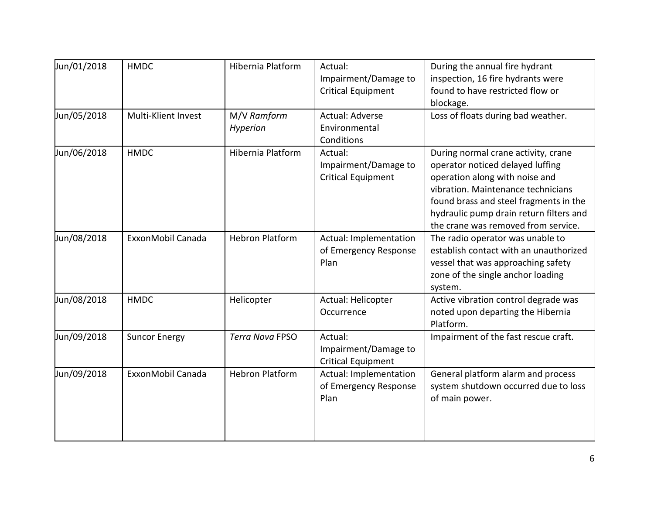| Jun/01/2018 | <b>HMDC</b>          | Hibernia Platform       | Actual:<br>Impairment/Damage to<br><b>Critical Equipment</b> | During the annual fire hydrant<br>inspection, 16 fire hydrants were<br>found to have restricted flow or<br>blockage.                                                                                                                                                        |
|-------------|----------------------|-------------------------|--------------------------------------------------------------|-----------------------------------------------------------------------------------------------------------------------------------------------------------------------------------------------------------------------------------------------------------------------------|
| Jun/05/2018 | Multi-Klient Invest  | M/V Ramform<br>Hyperion | Actual: Adverse<br>Environmental<br>Conditions               | Loss of floats during bad weather.                                                                                                                                                                                                                                          |
| Jun/06/2018 | <b>HMDC</b>          | Hibernia Platform       | Actual:<br>Impairment/Damage to<br><b>Critical Equipment</b> | During normal crane activity, crane<br>operator noticed delayed luffing<br>operation along with noise and<br>vibration. Maintenance technicians<br>found brass and steel fragments in the<br>hydraulic pump drain return filters and<br>the crane was removed from service. |
| Jun/08/2018 | ExxonMobil Canada    | <b>Hebron Platform</b>  | Actual: Implementation<br>of Emergency Response<br>Plan      | The radio operator was unable to<br>establish contact with an unauthorized<br>vessel that was approaching safety<br>zone of the single anchor loading<br>system.                                                                                                            |
| Jun/08/2018 | <b>HMDC</b>          | Helicopter              | Actual: Helicopter<br>Occurrence                             | Active vibration control degrade was<br>noted upon departing the Hibernia<br>Platform.                                                                                                                                                                                      |
| Jun/09/2018 | <b>Suncor Energy</b> | <b>Terra Nova FPSO</b>  | Actual:<br>Impairment/Damage to<br><b>Critical Equipment</b> | Impairment of the fast rescue craft.                                                                                                                                                                                                                                        |
| Jun/09/2018 | ExxonMobil Canada    | <b>Hebron Platform</b>  | Actual: Implementation<br>of Emergency Response<br>Plan      | General platform alarm and process<br>system shutdown occurred due to loss<br>of main power.                                                                                                                                                                                |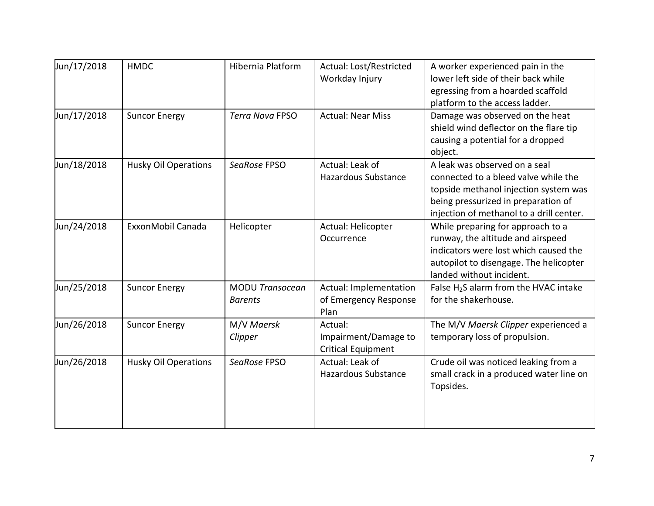| Jun/17/2018 | <b>HMDC</b>                 | Hibernia Platform      | Actual: Lost/Restricted<br>Workday Injury | A worker experienced pain in the<br>lower left side of their back while |
|-------------|-----------------------------|------------------------|-------------------------------------------|-------------------------------------------------------------------------|
|             |                             |                        |                                           | egressing from a hoarded scaffold                                       |
|             |                             |                        |                                           | platform to the access ladder.                                          |
| Jun/17/2018 | <b>Suncor Energy</b>        | Terra Nova FPSO        | <b>Actual: Near Miss</b>                  | Damage was observed on the heat                                         |
|             |                             |                        |                                           | shield wind deflector on the flare tip                                  |
|             |                             |                        |                                           | causing a potential for a dropped                                       |
|             |                             |                        |                                           |                                                                         |
|             |                             |                        |                                           | object.                                                                 |
| Jun/18/2018 | <b>Husky Oil Operations</b> | SeaRose FPSO           | Actual: Leak of                           | A leak was observed on a seal                                           |
|             |                             |                        | <b>Hazardous Substance</b>                | connected to a bleed valve while the                                    |
|             |                             |                        |                                           | topside methanol injection system was                                   |
|             |                             |                        |                                           | being pressurized in preparation of                                     |
|             |                             |                        |                                           | injection of methanol to a drill center.                                |
| Jun/24/2018 | ExxonMobil Canada           | Helicopter             | Actual: Helicopter                        | While preparing for approach to a                                       |
|             |                             |                        | Occurrence                                | runway, the altitude and airspeed                                       |
|             |                             |                        |                                           | indicators were lost which caused the                                   |
|             |                             |                        |                                           | autopilot to disengage. The helicopter                                  |
|             |                             |                        |                                           | landed without incident.                                                |
| Jun/25/2018 | <b>Suncor Energy</b>        | <b>MODU Transocean</b> | Actual: Implementation                    | False $H_2S$ alarm from the HVAC intake                                 |
|             |                             | <b>Barents</b>         | of Emergency Response                     | for the shakerhouse.                                                    |
|             |                             |                        | Plan                                      |                                                                         |
| Jun/26/2018 | <b>Suncor Energy</b>        | M/V Maersk             | Actual:                                   | The M/V Maersk Clipper experienced a                                    |
|             |                             | Clipper                | Impairment/Damage to                      | temporary loss of propulsion.                                           |
|             |                             |                        | <b>Critical Equipment</b>                 |                                                                         |
| Jun/26/2018 | <b>Husky Oil Operations</b> | SeaRose FPSO           | Actual: Leak of                           | Crude oil was noticed leaking from a                                    |
|             |                             |                        | <b>Hazardous Substance</b>                | small crack in a produced water line on                                 |
|             |                             |                        |                                           | Topsides.                                                               |
|             |                             |                        |                                           |                                                                         |
|             |                             |                        |                                           |                                                                         |
|             |                             |                        |                                           |                                                                         |
|             |                             |                        |                                           |                                                                         |